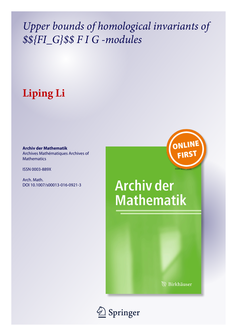## *Upper bounds of homological invariants of \$\${FI\_G}\$\$ F I G -modules*

# **Liping Li**

**Archiv der Mathematik** Archives Mathématiques Archives of Mathematics

ISSN 0003-889X

Arch. Math. DOI 10.1007/s00013-016-0921-3 ONLINI **FIRS** 

# **Archiv der Mathematik**

**B** Birkhäuser

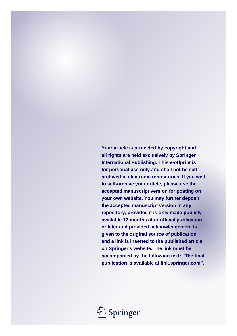**Your article is protected by copyright and all rights are held exclusively by Springer International Publishing. This e-offprint is for personal use only and shall not be selfarchived in electronic repositories. If you wish to self-archive your article, please use the accepted manuscript version for posting on your own website. You may further deposit the accepted manuscript version in any repository, provided it is only made publicly available 12 months after official publication or later and provided acknowledgement is given to the original source of publication and a link is inserted to the published article on Springer's website. The link must be accompanied by the following text: "The final publication is available at link.springer.com".**

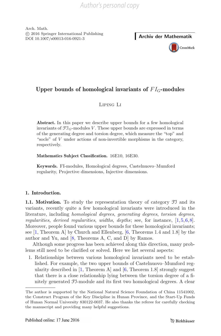Arch. Math. -c 2016 Springer International Publishing DOI 10.1007/s00013-016-0921-3 **Archiv der Mathematik**



## **Upper bounds of homological invariants of** *F IG***-modules**

Liping Li

**Abstract.** In this paper we describe upper bounds for a few homological invariants of  $\mathfrak{Fl}_G$ -modules *V*. These upper bounds are expressed in terms of the generating degree and torsion degree, which measure the "top" and "socle" of *V* under actions of non-invertible morphisms in the category, respectively.

**Mathematics Subject Classification.** 16E10, 16E30.

**Keywords.** FI-modules, Homological degrees, Castelnuovo–Mumford regularity, Projective dimensions, Injective dimensions.

## **1. Introduction.**

**1.1. Motivation.** To study the representation theory of category FI and its variants, recently quite a few homological invariants were introduced in the literature, including *homological degrees*, *generating degrees*, *torsion degrees*, *regularities*, *derived regularities*, *widths*, *depths*; see, for instance, [\[1](#page-12-0),[5,](#page-12-1)[6](#page-12-2)[,8](#page-12-3)]. Moreover, people found various upper bounds for these homological invariants; see [\[1,](#page-12-0) Theorem A] by Church and Ellenberg, [\[6](#page-12-2), Theorems 1.4 and 1.8] by the author and Yu, and  $[8,$  $[8,$  Theorems A, C, and D by Ramos.

Although some progress has been achieved along this direction, many problems still need to be clarified or solved. Here we list several aspects:

1. Relationships between various homological invariants need to be established. For example, the two upper bounds of Castelnuovo–Mumford regularity described in  $[1,$  Theorem A and  $[6,$  Theorem 1.8 strongly suggest that there is a close relationship lying between the torsion degree of a finitely generated FI-module and its first two homological degrees. A clear

The author is supported by the National Natural Science Foundation of China 11541002, the Construct Program of the Key Discipline in Hunan Province, and the Start-Up Funds of Hunan Normal University 830122-0037. He also thanks the referee for carefully checking the manuscript and providing many helpful suggestions.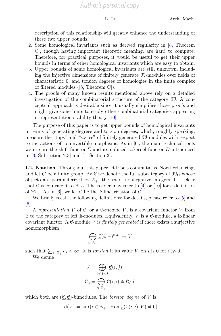description of this relationship will greatly enhance the understanding of these two upper bounds.

- 2. Some homological invariants such as derived regularity in [\[8,](#page-12-3) Theorem C], though having important theoretic meaning, are hard to compute. Therefore, for practical purposes, it would be useful to get their upper bounds in terms of other homological invariants which are easy to obtain.
- 3. Upper bounds of some homological invariants are still unknown, including the injective dimensions of finitely generate FI-modules over fields of characteristic 0, and torsion degrees of homologies in the finite complex of filtered modules  $([6,$  $([6,$  Theorem C]).
- 4. The proofs of many known results mentioned above rely on a detailed investigation of the combinatorial structure of the category FI. A conceptual approach is desirable since it usually simplifies those proofs and might give some hints to study other combinatorial categories appearing in representation stability theory [\[10\]](#page-12-4).

The purpose of this paper is to get upper bounds of homological invariants in terms of generating degrees and torsion degrees, which, roughly speaking, measure the "tops" and "socles" of finitely generated FI-modules with respect to the actions of noninvertible morphisms. As in  $[6]$ , the main technical tools we use are the shift functor  $\Sigma$  and its induced cokernel functor D introduced in  $[3,$  Subsection 2.3] and  $[1,$  Section 3].

**1.2. Notation.** Throughout this paper let k be a commutative Noetherian ring, and let G be a finite group. By C we denote the full subcategory of  $\mathfrak{Fl}_G$  whose objects are parameterized by  $\mathbb{Z}_+$ , the set of nonnegative integers. It is clear that C is equivalent to  $\mathfrak{Fl}_G$ . The reader may refer to [\[4](#page-12-6)] or [\[10\]](#page-12-4) for a definition of  $\mathfrak{Fl}_G$ . As in [\[6](#page-12-2)], we let  $\underline{\mathfrak{C}}$  be the k-linearization of  $\mathfrak{C}$ .

We briefly recall the following definitions; for details, please refer to  $[5]$  $[5]$  and [\[6](#page-12-2)].

A *representation* V of C, or a C-*module* V , is a covariant functor V from  $C$  to the category of left k-modules. Equivalently, V is a  $C$ -module, a k-linear covariant functor. A C-module V is *finitely generated* if there exists a surjective homomorphism

$$
\bigoplus_{i\in\mathbb{Z}_+}\underline{\mathbf{C}}(i,-)^{\oplus a_i}\to V
$$

such that  $\sum_{i\in\mathbb{Z}_+} a_i < \infty$ . It is *torsion* if its value  $V_i$  on i is 0 for  $i \gg 0$ . We define

$$
J = \bigoplus_{0 \le i < j} \underline{\mathcal{C}}(i, j)
$$

$$
\underline{\mathcal{C}}_0 = \bigoplus_{i \in \mathbb{Z}_+} \underline{\mathcal{C}}(i, i) \cong \underline{\mathcal{C}}/J,
$$

which both are  $(\mathcal{C}, \mathcal{C})$ -bimodules. The *torsion degree* of V is

$$
\operatorname{td}(V) = \sup\{i \in \mathbb{Z}_+ \mid \operatorname{Hom}_{\underline{\mathcal{C}}}(\underline{\mathcal{C}}(i,i), V) \neq 0\}
$$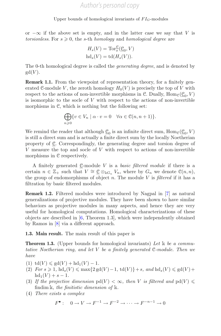or  $-\infty$  if the above set is empty, and in the latter case we say that V is  $torsionless.$  For  $s \geqslant 0$ , the s-th *homology* and *homological degree* are

$$
H_s(V) = \operatorname{Tor}_s^{\mathfrak{C}}(\underline{\mathfrak{C}}_0, V)
$$

$$
\operatorname{hd}_s(V) = \operatorname{td}(H_s(V)).
$$

The 0-th homological degree is called the *generating degree*, and is denoted by  $gd(V)$ .

**Remark 1.1.** From the viewpoint of representation theory, for a finitely generated C-module V, the zeroth homology  $H_0(V)$  is precisely the top of V with respect to the actions of non-invertible morphisms in C. Dually,  $\text{Hom}_{\mathcal{C}}(\mathcal{C}_0, V)$ is isomorphic to the socle of  $V$  with respect to the actions of non-invertible morphisms in C, which is nothing but the following set:

$$
\bigoplus_{n\geqslant 0} \{v \in V_n \mid \alpha \cdot v = 0 \quad \forall \alpha \in \mathcal{C}(n, n+1)\}.
$$

We remind the reader that although  $\underline{\mathcal{C}}_0$  is an infinite direct sum, Hom<sub>C</sub>( $\underline{\mathcal{C}}_0$ , V) is still a direct sum and is actually a finite direct sum by the locally Noetherian property of C. Correspondingly, the generating degree and torsion degree of  $V$  measure the top and socle of  $V$  with respect to actions of non-invertible morphisms in C respectively.

A finitely generated C-module V is a *basic filtered module* if there is a certain  $n \in \mathbb{Z}_+$  such that  $V \cong \mathcal{C} \otimes_{kG_n} V_n$ , where by  $G_n$  we denote  $\mathcal{C}(n,n)$ , the group of endomorphisms of object n. The module V is *filtered* if it has a filtration by basic filtered modules.

**Remark 1.2.** Filtered modules were introduced by Nagpal in [\[7\]](#page-12-7) as natural generalizations of projective modules. They have been shown to have similar behaviors as projective modules in many aspects, and hence they are very useful for homological computations. Homological characterizations of these objects are described in [\[6,](#page-12-2) Theorem 1.3], which were independently obtained by Ramos in [\[8\]](#page-12-3) via a different approach.

<span id="page-4-0"></span>**1.3. Main result.** The main result of this paper is

**Theorem 1.3.** (Upper bounds for homological invariants) *Let* k *be a commutative Noetherian ring, and let* V *be a finitely generated* C*-module. Then we have*

- (1)  $\text{td}(V) \leq \text{gd}(V) + \text{hd}_1(V) 1.$
- $(2)$  *For*  $s \ge 1$ ,  $\text{hd}_s(V) \le \max\{2\,\text{gd}(V) 1, \text{td}(V)\} + s$ , and  $\text{hd}_s(V) \le \text{gd}(V) +$  $hd_1(V) + s - 1.$
- (3) If the projective dimension  $pd(V) < \infty$ , then V is filtered and  $pd(V) \leq$ findim k*, the finitistic dimension of* k*.*
- (4) *There exists a complex*

$$
F^{\bullet}: \quad 0 \to V \to F^{-1} \to F^{-2} \to \cdots \to F^{-n-1} \to 0
$$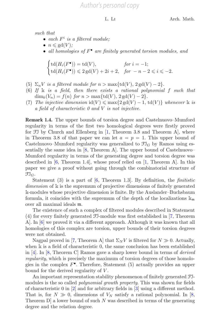*such that*

- $each \ F^i$  *is a filtered module:*
- $n \leqslant \text{gd}(V)$ ;
- *all homologies of* F• *are finitely generated torsion modules, and*

$$
\begin{cases} \operatorname{td}(H_i(F^{\bullet})) = \operatorname{td}(V), & \text{for } i = -1; \\ \operatorname{td}(H_i(F^{\bullet})) \leqslant 2 \operatorname{gd}(V) + 2i + 2, & \text{for } -n - 2 \leqslant i \leqslant -2. \end{cases}
$$

- (5)  $\Sigma_n V$  *is a filtered module for*  $n > \max\{\text{td}(V), 2 \text{rd}(V) 2\}.$
- (6) *If* k *is a field, then there exists a rational polynomial* f *such that*  $\dim_k(V_n) = f(n)$  *for*  $n > \max\{td(V), 2gd(V) - 2\}.$
- (7) *The injective dimension*  $\text{id}(V) \leq \max\{2 \text{ gd}(V) 1, \text{ td}(V)\}\$  *whenever* k *is a field of characteristic 0 and* V *is not injective.*

**Remark 1.4.** The upper bounds of torsion degree and Castelnuovo–Mumford regularity in terms of the first two homological degrees were firstly proved for FI by Church and Ellenberg in [\[1](#page-12-0), Theorem 3.8 and Theorem A], where in Theorem 3.8 of that paper we can let  $a = p = 1$ . This upper bound of Castelnuovo–Mumford regularity was generalized to  $\mathfrak{Fl}_G$  by Ramos using essentially the same idea in [\[8](#page-12-3), Theorem A]. The upper bound of Castelnuovo– Mumford regularity in terms of the generating degree and torsion degree was described in [\[6,](#page-12-2) Theorem 1.4], whose proof relied on [\[1,](#page-12-0) Theorem A]. In this paper we give a proof without going through the combinatorial structure of  $\mathfrak{Fl}_G$ .

Statement (3) is a part of [\[6](#page-12-2), Theorem 1.3]. By definition, the *finitistic dimension* of k is the supremum of projective dimensions of finitely generated k-modules whose projective dimension is finite. By the Auslander–Buchsbaum formula, it coincides with the supremum of the depth of the localizations  $k_m$ over all maximal ideals m.

The existence of such a complex of filtered modules described in Statement (4) for every finitely generated FI-module was first established in [\[7](#page-12-7), Theorem A]. In [\[6\]](#page-12-2) we proved it via a different approach. Although it was known that all homologies of this complex are torsion, upper bounds of their torsion degrees were not obtained.

Nagpal proved in [\[7,](#page-12-7) Theorem A] that  $\Sigma_N V$  is filtered for  $N \gg 0$ . Actually, when k is a field of characteristic 0, the same conclusion has been established in [\[4\]](#page-12-6). In [\[8,](#page-12-3) Theorem C] Ramos gave a sharp lower bound in terms of *derived regularity*, which is precisely the maximum of torsion degrees of those homologies in the complex  $F^{\bullet}$ . Therefore, Statement (5) actually provides an upper bound for the derived regularity of  $V$ .

An important representation stability phenomenon of finitely generated FImodules is the so called *polynomial growth property*. This was shown for fields of characteristic 0 in [\[2\]](#page-12-8) and for arbitrary fields in [\[3](#page-12-5)] using a different method. That is, for  $N \gg 0$ , dimensions of  $V_N$  satisfy a rational polynomial. In [\[8](#page-12-3), Theorem  $D$  a lower bound of such N was described in terms of the generating degree and the relation degree.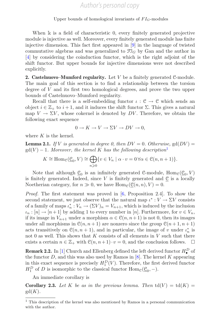When  $\mathbb k$  is a field of characteristic 0, every finitely generated projective module is injective as well. Moreover, every finitely generated module has finite injective dimension. This fact first appeared in [\[9](#page-12-9)] in the language of twisted commutative algebras and was generalized to  $\mathfrak{I}_G$  by Gan and the author in [\[4](#page-12-6)] by considering the coinduction functor, which is the right adjoint of the shift functor. But upper bounds for injective dimensions were not described explicitly.

**2. Castelnuovo–Mumford regularity.** Let V be a finitely generated C-module. The main goal of this section is to find a relationship between the torsion degree of V and its first two homological degrees, and prove the two upper bounds of Castelnuovo–Mumford regularity.

Recall that there is a self-embedding functor  $\iota : \mathcal{C} \to \mathcal{C}$  which sends an object  $i \in \mathbb{Z}_+$  to  $i + 1$ , and it induces the shift functor  $\Sigma$ . This gives a natural map  $V \to \Sigma V$ , whose cokernel is denoted by DV. Therefore, we obtain the following exact sequence

$$
0 \to K \to V \to \Sigma V \to DV \to 0,
$$

<span id="page-6-1"></span>where  $K$  is the kernel.

**Lemma 2.1.** *If* V *is generated in degree 0, then*  $DV = 0$ *. Otherwise,* gd( $DV$ ) =  $gd(V) - 1$  $gd(V) - 1$ *. Moreover, the kernel K has the following description*<sup>1</sup>

$$
K \cong \operatorname{Hom}_{\mathcal{C}}(\underline{\mathcal{C}}_0, V) \cong \bigoplus_{n \geqslant 0} \{v \in V_n \mid \alpha \cdot v = 0 \,\forall \alpha \in \mathcal{C}(n, n+1)\}.
$$

Note that although  $\underline{\mathcal{C}}_0$  is an infinitely generated C-module,  $\text{Hom}_{\mathcal{C}}(\underline{\mathcal{C}}_0, V)$ is finitely generated. Indeed, since  $V$  is finitely generated and  $\underline{\mathcal{C}}$  is a locally Noetherian category, for  $n \gg 0$ , we have  $\text{Hom}_{\mathcal{C}}(\underline{\mathcal{C}}(n, n), V) = 0$ .

*Proof.* The first statement was proved in [\[6](#page-12-2), Proposition 2.4]. To show the second statement, we just observe that the natural map  $\iota^* : V \to \Sigma V$  consists of a family of maps  $\iota_n^*: V_n \to (\Sigma V)_n = V_{n+1}$ , which is induced by the inclusion  $\iota_n : [n] \to [n+1]$  by adding 1 to every number in [n]. Furthermore, for  $v \in V_n$ , if its image in  $V_{n+1}$  under a morphism  $\alpha \in \mathcal{C}(n, n+1)$  is not 0, then its images under all morphisms in  $\mathcal{C}(n, n+1)$  are nonzero since the group  $\mathcal{C}(n+1, n+1)$ acts transitively on  $\mathcal{C}(n, n+1)$ , and in particular, the image of v under  $\iota_n^*$  is not 0 as well. This shows that  $K$  consists of all elements in  $V$  such that there exists a certain  $n \in \mathbb{Z}_+$  with  $\mathcal{C}(n, n+1) \cdot v = 0$ , and the conclusion follows.  $\Box$ 

**Remark 2.2.** In [\[1\]](#page-12-0) Church and Ellenberg defined the left derived functor  $H^D_{\bullet}$  of the functor  $D$ , and this was also used by Ramos in  $[8]$  $[8]$ . The kernel K appearing in this exact sequence is precisely  $H_1^D(V)$ . Therefore, the first derived functor  $H_1^D$  of D is isomorphic to the classical functor  $\text{Hom}_{\mathcal{C}}(\underline{\mathcal{C}}_0, -)$ .

An immediate corollary is

**Corollary 2.3.** Let K be as in the previous lemma. Then  $td(V) = td(K)$  $gd(K)$ .

<span id="page-6-0"></span> $^{\rm 1}$  This description of the kernel was also mentioned by Ramos in a personal communication with the author.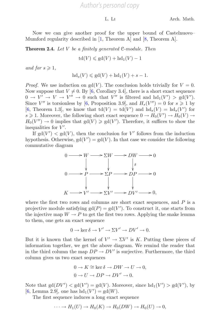## *Author's personal copy*

Now we can give another proof for the upper bound of Castelnuovo– Mumford regularity described in [\[1](#page-12-0), Theorem A] and [\[8,](#page-12-3) Theorem A].

**Theorem 2.4.** *Let* V *be a finitely generated* C*-module. Then*

$$
\operatorname{td}(V) \leqslant \operatorname{gd}(V) + \operatorname{hd}_1(V) - 1
$$

*and for*  $s \geqslant 1$ *,* 

$$
hd_s(V) \leqslant gd(V) + hd_1(V) + s - 1.
$$

*Proof.* We use induction on  $gd(V)$ . The conclusion holds trivially for  $V = 0$ . Now suppose that  $V \neq 0$ . By [\[6,](#page-12-2) Corollary 3.4], there is a short exact sequence  $0 \to V' \to V \to V'' \to 0$  such that V'' is filtered and  $hd_1(V') > gd(V')$ . Since  $V''$  is torsionless by [\[6,](#page-12-2) Proposition 3.9], and  $H_s(V'') = 0$  for  $s \geq 1$  by [\[6](#page-12-2), Theorem 1.3], we know that  $\mathrm{td}(V) = \mathrm{td}(V')$  and  $\mathrm{hd}_s(V) = \mathrm{hd}_s(V')$  for  $s \geq 1$ . Moreover, the following short exact sequence  $0 \to H_0(V') \to H_0(V) \to$  $H_0(V'') \to 0$  implies that  $gd(V) \geq gd(V')$ . Therefore, it suffices to show the inequalities for  $V'$ .

If  $gd(V') < gd(V)$ , then the conclusion for V' follows from the induction hypothesis. Otherwise,  $gd(V') = gd(V)$ . In that case we consider the following commutative diagram



where the first two rows and columns are short exact sequences, and  $P$  is a projective module satisfying  $gd(P) = gd(V')$ . To construct it, one starts from the injective map  $W \to P$  to get the first two rows. Applying the snake lemma to them, one gets an exact sequence

$$
0 \to \ker \delta \to V' \to \Sigma V' \to DV' \to 0.
$$

But it is known that the kernel of  $V' \to \Sigma V'$  is K. Putting these pieces of information together, we get the above diagram. We remind the reader that in the third column the map  $DP \rightarrow DV'$  is surjective. Furthermore, the third column gives us two exact sequences

$$
0 \to K \cong \ker \delta \to DW \to U \to 0,
$$
  

$$
0 \to U \to DP \to DV' \to 0.
$$

Note that  $gd(DV') < gd(V') = gd(V)$ . Moreover, since  $hd_1(V') > gd(V')$ , by [\[6](#page-12-2), Lemma 2.9], one has  $hd_1(V') = gd(W)$ .

The first sequence induces a long exact sequence

$$
\cdots \to H_1(U) \to H_0(K) \to H_0(DW) \to H_0(U) \to 0,
$$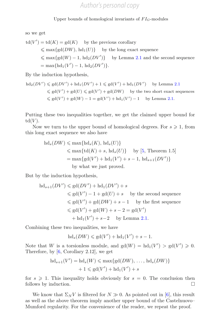so we get

$$
td(V') = td(K) = gd(K) \text{ by the previous corollary}
$$
  
\$\leqslant \max\{gd(DW), hd\_1(U)\}\$ by the long exact sequence  
\$\leqslant \max\{gd(W) - 1, hd\_2(DV')\}\$ by Lemma 2.1 and the second sequence  
= max{hd\_1(V') - 1, hd\_2(DV')}.

By the induction hypothesis,

$$
\mathrm{hd}_2(DV') \leqslant \mathrm{gd}(DV') + \mathrm{hd}_1(DV') + 1 \leqslant \mathrm{gd}(V') + \mathrm{hd}_1(DV') \quad \text{ by Lemma 2.1}
$$
\n
$$
\leqslant \mathrm{gd}(V') + \mathrm{gd}(U) \leqslant \mathrm{gd}(V') + \mathrm{gd}(DW) \quad \text{ by the two short exact sequences}
$$
\n
$$
\leqslant \mathrm{gd}(V') + \mathrm{gd}(W) - 1 = \mathrm{gd}(V') + \mathrm{hd}_1(V') - 1 \quad \text{ by Lemma 2.1.}
$$

Putting these two inequalities together, we get the claimed upper bound for  $td(V)$ .

Now we turn to the upper bound of homological degrees. For  $s \geq 1$ , from this long exact sequence we also have

$$
hd_s(DW) \le \max\{hd_s(K), hd_s(U)\}
$$
  
\n
$$
\le \max\{td(K) + s, hd_s(U)\} \quad \text{by [5, Theorem 1.5]}
$$
  
\n
$$
= \max\{gd(V') + hd_1(V') + s - 1, hd_{s+1}(DV')\}
$$
  
\nby what we just proved.

But by the induction hypothesis,

$$
hd_{s+1}(DV') \leq gd(DV') + hd_1(DV') + s
$$
  
\n
$$
\leq gd(V') - 1 + gd(U) + s
$$
 by the second sequence  
\n
$$
\leq gd(V') + gd(DW) + s - 1
$$
 by the first sequence  
\n
$$
\leq gd(V') + gd(W) + s - 2 = gd(V')
$$
  
\n
$$
+ hd_1(V') + s - 2
$$
 by Lemma 2.1.

Combining these two inequalities, we have

$$
\mathrm{hd}_s(DW) \leqslant \mathrm{gd}(V') + \mathrm{hd}_1(V') + s - 1.
$$

Note that W is a torsionless module, and  $gd(W) = hd_1(V') > gd(V') \geq 0$ . Therefore, by [\[6,](#page-12-2) Corollary 2.12], we get

$$
hd_{s+1}(V') = hd_s(W) \le \max\{gd(DW), \dots, hd_s(DW)\}\
$$

$$
+ 1 \le gd(V') + hd_1(V') + s
$$

for  $s \geq 1$ . This inequality holds obviously for  $s = 0$ . The conclusion then follows by induction.

We know that  $\Sigma_N V$  is filtered for  $N \gg 0$ . As pointed out in [\[6](#page-12-2)], this result as well as the above theorem imply another upper bound of the Castelnuovo– Mumford regularity. For the convenience of the reader, we repeat the proof.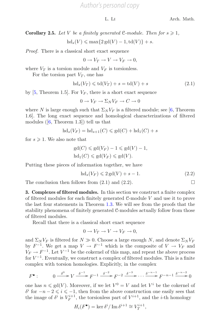L. Li Arch. Math.

**Corollary 2.5.** Let V be a finitely generated C-module. Then for  $s \geq 1$ ,  $hd_s(V) \leq \max\{2gd(V) - 1, td(V)\} + s.$ 

*Proof.* There is a classical short exact sequence

 $0 \to V_T \to V \to V_F \to 0.$ 

where  $V_T$  is a torsion module and  $V_F$  is torsionless.

For the torsion part  $V_T$ , one has

$$
hd_s(V_T) \leqslant td(V_T) + s = td(V) + s \tag{2.1}
$$

by [\[5](#page-12-1), Theorem 1.5]. For  $V_F$ , there is a short exact sequence

$$
0 \to V_F \to \Sigma_N V_F \to C \to 0
$$

where N is large enough such that  $\Sigma_N V_F$  is a filtered module; see [\[6](#page-12-2), Theorem 1.6]. The long exact sequence and homological characterizations of filtered modules  $([6,$  $([6,$  $([6,$  Theorem 1.3]) tell us that

$$
\mathrm{hd}_s(V_F) = \mathrm{hd}_{s+1}(C) \leqslant \mathrm{gd}(C) + \mathrm{hd}_1(C) + s
$$

for  $s \geqslant 1$ . We also note that

$$
gd(C) \leq gd(V_F) - 1 \leq gd(V) - 1,
$$
  

$$
hd_1(C) \leq gd(V_F) \leq gd(V).
$$

Putting these pieces of information together, we have

$$
\mathrm{hd}_s(V_F) \leqslant 2\,\mathrm{gd}(V) + s - 1.\tag{2.2}
$$

The conclusion then follows from  $(2.1)$  and  $(2.2)$ .

**3. Complexes of filtered modules.** In this section we construct a finite complex of filtered modules for each finitely generated C-module V and use it to prove the last four statements in Theorem [1.3.](#page-4-0) We will see from the proofs that the stability phenomena of finitely generated C-modules actually follow from those of filtered modules.

Recall that there is a classical short exact sequence

$$
0 \to V_T \to V \to V_F \to 0,
$$

and  $\Sigma_N V_F$  is filtered for  $N \gg 0$ . Choose a large enough N, and denote  $\Sigma_N V_F$ by  $F^{-1}$ . We get a map  $V \to F^{-1}$  which is the composite of  $V \to V_F$  and  $V_F \rightarrow F^{-1}$ . Let  $V^{-1}$  be the cokernel of this map, and repeat the above process for  $V^{-1}$ . Eventually, we construct a complex of filtered modules. This is a finite complex with torsion homologies. Explicitly, in the complex

$$
F^{\bullet}: \qquad 0 \xrightarrow{\delta^0} V \xrightarrow{\delta^{-1}} F^{-1} \xrightarrow{\delta^{-2}} F^{-2} \xrightarrow{\delta^{-3}} \cdots \xrightarrow{\delta^{-n-1}} F^{-n-1} \xrightarrow{\delta^{-n-2}} 0
$$

one has  $n \leq \text{gd}(V)$ . Moreover, if we let  $V^0 = V$  and let  $V^i$  be the cokernel of  $\delta^i$  for  $-n-2 \leq i \leq -1$ , then from the above construction one easily sees that the image of  $\delta^i$  is  $V_F^{i+1}$ , the torsionless part of  $V^{i+1}$ , and the *i*-th homology

$$
H_i(F^{\bullet}) = \ker \delta^i / \operatorname{Im} \delta^{i+1} \cong V_T^{i+1},
$$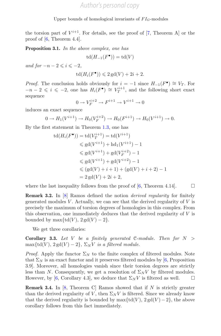the torsion part of  $V^{i+1}$ . For details, see the proof of [\[7,](#page-12-7) Theorem A] or the proof of [\[6,](#page-12-2) Theorem 4.4].

**Proposition 3.1.** *In the above complex, one has*

$$
\operatorname{td}(H_{-1}(F^\bullet))=\operatorname{td}(V)
$$

*and for*  $-n-2 \leq i \leq -2$ ,

$$
td(H_i(F^{\bullet})) \leq 2\,\mathrm{gd}(V) + 2i + 2.
$$

*Proof.* The conclusion holds obviously for  $i = -1$  since  $H_{-1}(F^{\bullet}) \cong V_T$ . For  $-n-2 \leq i \leq -2$ , one has  $H_i(F^{\bullet}) \cong V_T^{i+1}$ , and the following short exact sequence

$$
0 \to V_F^{i+2} \to F^{i+1} \to V^{i+1} \to 0
$$

induces an exact sequence

$$
0 \to H_1(V^{i+1}) \to H_0(V_F^{i+2}) \to H_0(F^{i+1}) \to H_0(V^{i+1}) \to 0.
$$

By the first statement in Theorem [1.3,](#page-4-0) one has

$$
td(H_i(F^{\bullet})) = td(V_T^{i+1}) = td(V^{i+1})
$$
  
\n
$$
\leq ad(V^{i+1}) + hd_1(V^{i+1}) - 1
$$
  
\n
$$
\leq gd(V^{i+1}) + gd(V_F^{i+2}) - 1
$$
  
\n
$$
\leq gd(V^{i+1}) + gd(V^{i+2}) - 1
$$
  
\n
$$
\leq (gd(V) + i + 1) + (gd(V) + i + 2) - 1
$$
  
\n
$$
= 2 gd(V) + 2i + 2,
$$

where the last inequality follows from the proof of  $[6,$  $[6,$  Theorem 4.14.

**Remark 3.2.** In [\[8](#page-12-3)] Ramos defined the notion *derived regularity* for finitely generated modules  $V$ . Actually, we can see that the derived regularity of  $V$  is precisely the maximum of torsion degrees of homologies in this complex. From this observation, one immediately deduces that the derived regularity of  $V$  is bounded by max $\{td(V), 2 gd(V) - 2\}.$ 

We get three corollaries:

**Corollary 3.3.** *Let* V *be a finitely generated* C*-module. Then for* N >  $\max\{td(V), 2gd(V)-2\}, \Sigma_N V$  *is a filtered module.* 

*Proof.* Apply the functor  $\Sigma_N$  to the finite complex of filtered modules. Note that  $\Sigma_N$  is an exact functor and it preserves filtered modules by [\[6](#page-12-2), Proposition 3.9]. Moreover, all homologies vanish since their torsion degrees are strictly less than N. Consequently, we get a resolution of  $\Sigma_N V$  by filtered modules. However, by [\[6,](#page-12-2) Corollary 4.3], we deduce that  $\Sigma_N V$  is filtered as well.  $\square$ 

**Remark 3.4.** In [\[8,](#page-12-3) Theorem C] Ramos showed that if  $N$  is strictly greater than the derived regularity of V, then  $\Sigma_N V$  is filtered. Since we already know that the derived regularity is bounded by  $\max\{td(V), 2gd(V) - 2\}$ , the above corollary follows from this fact immediately.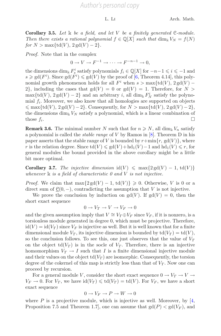**Corollary 3.5.** *Let* k *be a field, and let* V *be a finitely generated* C*-module. Then there exists a rational polynomial*  $f \in \mathbb{Q}[X]$  *such that* dim<sub>k</sub>  $V_N = f(N)$ *for*  $N > \max\{td(V), 2\textrm{gd}(V) - 2\}.$ 

*Proof.* Note that in the complex

 $0 \to V \to F^{-1} \to \cdots \to F^{-n-1} \to 0.$ 

the dimensions dim<sub>k</sub>  $F_s^i$  satisfy polynomials  $f_i \in \mathbb{Q}[X]$  for  $-n-1 \leq i \leq -1$  and  $s \geq \text{gd}(F^i)$ . Since  $\text{gd}(F^i) \leq \text{gd}(V)$  by the proof of [\[6,](#page-12-2) Theorem 4.14], this polynomial growth phenomenon holds for all  $F<sup>i</sup>$  when  $s > \max\{td(V), 2\textrm{gd}(V) -$ 2, including the cases that  $gd(V) = 0$  or  $gd(V) = 1$ . Therefore, for  $N >$  $\max\{td(V), 2\textrm{gd}(V)-2\}$  and an arbitrary i, all  $\dim_{\Bbbk} F_N^i$  satisfy the polynomial  $f_i$ . Moreover, we also know that all homologies are supported on objects  $\leq \max\{\mathrm{td}(V), 2\mathrm{gd}(V) - 2\}.$  Consequently, for  $N > \max\{\mathrm{td}(V), 2\mathrm{gd}(V) - 2\},$ the dimensions dim<sub>k</sub>  $V_N$  satisfy a polynomial, which is a linear combination of those  $f_i$ .

**Remark 3.6.** The minimal number N such that for  $n \geq N$ , all  $\dim_{\mathbb{k}} V_n$  satisfy a polynomial is called the *stable range* of V by Ramos in [\[8\]](#page-12-3). Theorem D in his paper asserts that the stable range of V is bounded by  $r+\min\{r, \text{gd}(V)\}\)$ , where r is the relation degree. Since  $td(V) \leq gd(V) + hd_1(V) - 1$  and  $hd_1(V) \leq r$ , for general modules the bound provided in the above corollary might be a little bit more optimal.

**Corollary 3.7.** *The injective dimension* id(V)  $\leq$  max{2 gd(V) – 1, td(V)} *whenever* k *is a field of characteristic 0 and* V *is not injective.*

*Proof.* We claim that  $\max\{2gd(V)-1, td(V)\}\geq 0$ . Otherwise, V is 0 or a direct sum of  $\underline{\mathcal{C}}(0,-)$ , contradicting the assumption that V is not injective.

We prove the conclusion by induction on  $gd(V)$ . If  $gd(V) = 0$ , then the short exact sequence

$$
0 \to V_T \to V \to V_F \to 0
$$

and the given assumption imply that  $V \cong V_T \oplus V_F$  since  $V_F$ , if it is nonzero, is a torsionless module generated in degree 0, which must be projective. Therefore,  $id(V) = id(V_T)$  since  $V_F$  is injective as well. But it is well known that for a finite dimensional module  $V_T$ , its injective dimension is bounded by  $\mathrm{td}(V_T) = \mathrm{td}(V)$ , so the conclusion follows. To see this, one just observes that the value of  $V_T$ on the object  $td(V_T)$  is in the socle of  $V_T$ . Therefore, there is an injective homomorphism  $V_T \to I$  such that I is a finite dimensional injective module and their values on the object  $\text{td}(V_T)$  are isomorphic. Consequently, the torsion degree of the cokernel of this map is strictly less than that of  $V_T$ . Now one can proceed by recursion.

For a general module V, consider the short exact sequence  $0 \to V_T \to V \to$  $V_F \to 0$ . For  $V_T$ , we have  $\mathrm{id}(V_T) \leq \mathrm{td}(V_T) = \mathrm{td}(V)$ . For  $V_F$ , we have a short exact sequence

$$
0 \to V_F \to P \to W \to 0
$$

where  $P$  is a projective module, which is injective as well. Moreover, by  $\left[4,\right]$  $\left[4,\right]$  $\left[4,\right]$ Proposition 7.5 and Theorem 1.7, one can assume that  $gd(P) < gd(V_F)$ , and